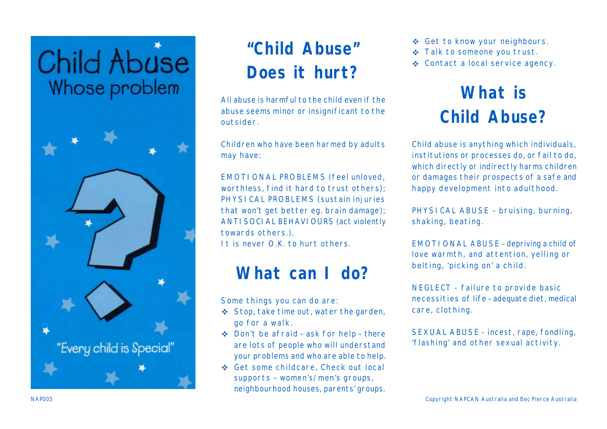# **Child Abuse** Whose problem



## **"Child Abuse" Does it hurt?**

All abuse is harmful to the child even if the abuse seems minor or insignificant to the outsider.

Children who have been harmed by adults may have:

EMOTIONAL PROBLEMS (feel unloved, worthless, find it hard to trust others); PHYSICAL PROBLEMS (sustain injuries that won't get better eg. brain damage); ANTISOCIAL BEHAVIOURS (act violently towards others.).

It is never  $\Omega$  K to hurt others.

#### **What can I do?**

Some things you can do are:

- $\triangle$  Stop, take time out, water the garden, go for a walk.
- ◆ Don't be afraid ask for help there are lots of people who will understand your problems and who are able to help.
- ◆ Get some childcare, Check out local supports – women's/men's groups, neighbourhood houses, parents' groups.
- ◆ Get to know your neighbours.
- ◆ Talk to someone you trust.
- ◆ Contact a local service agency.

## **What is Child Abuse?**

Child abuse is anything which individuals, institutions or processes do, or fail to do, which directly or indirectly harms children or damages their prospects of a safe and happy development into adulthood.

PHYSICAL ABUSE – bruising, burning, shaking, beating.

EMOTIONAL ABUSE – depriving a child of love warmth, and attention, yelling or belting, 'picking on' a child.

NEGLECT - failure to provide basic necessities of life – adequate diet, medical care, clothing.

SEXUAL ABUSE - incest, rape, fondling, 'flashing' and other sexual activity.